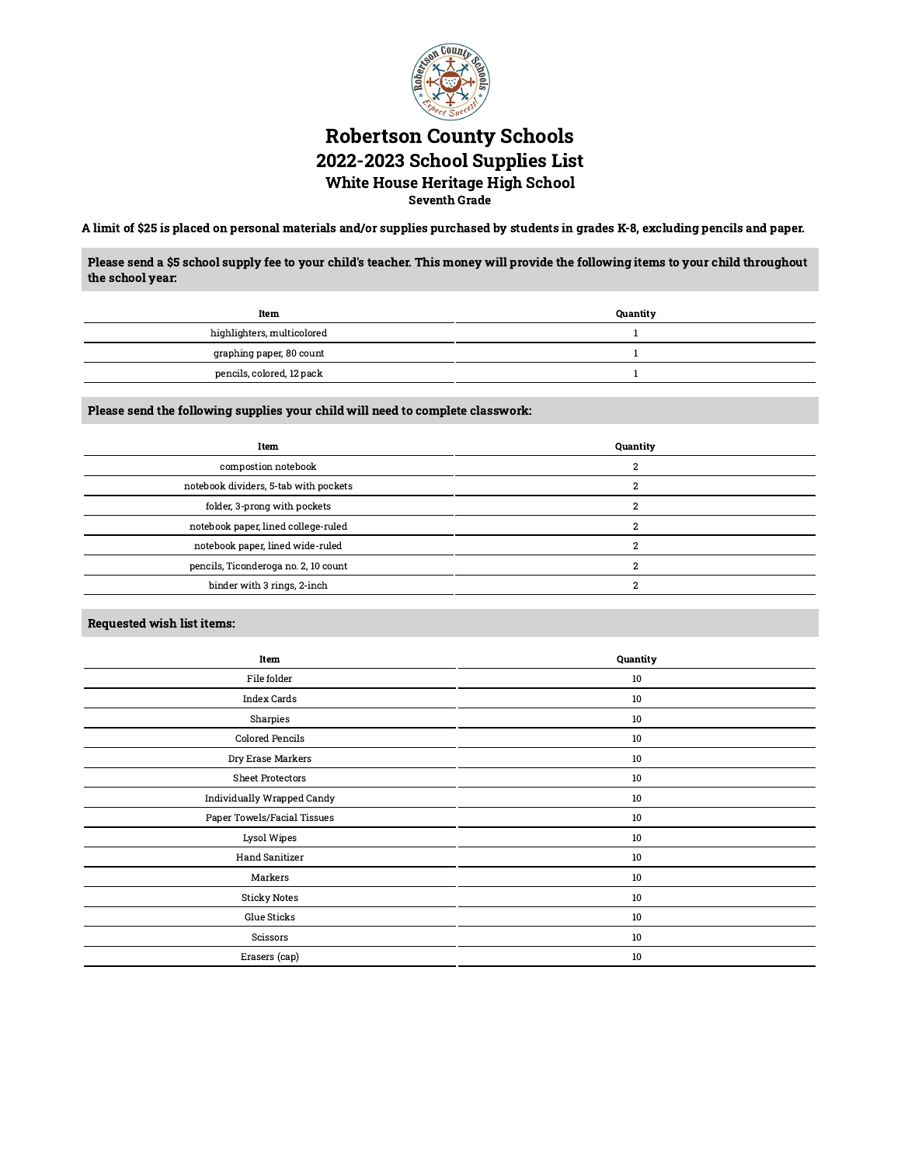

## Robertson County Schools 2022-2023 School Supplies List White House Heritage High School

Seventh Grade

A limit of \$25 is placed on personal materials and/or supplies purchased by students in grades K-8, excluding pencils and paper.

Please send a \$5 school supply fee to your child's teacher. This money will provide the following items to your child throughout the school year:

| Item                       | Quantity |
|----------------------------|----------|
| highlighters, multicolored |          |
| graphing paper, 80 count   |          |
| pencils, colored, 12 pack  |          |

Please send the following supplies your child will need to complete classwork:

| Item                                  | Quantity |
|---------------------------------------|----------|
| compostion notebook                   |          |
| notebook dividers, 5-tab with pockets |          |
| folder, 3-prong with pockets          |          |
| notebook paper, lined college-ruled   |          |
| notebook paper, lined wide-ruled      |          |
| pencils, Ticonderoga no. 2, 10 count  |          |
| binder with 3 rings, 2-inch           |          |
|                                       |          |

Requested wish list items:

| Item                        | Quantity |
|-----------------------------|----------|
| File folder                 | 10       |
| Index Cards                 | 10       |
| Sharpies                    | 10       |
| Colored Pencils             | 10       |
| Dry Erase Markers           | 10       |
| <b>Sheet Protectors</b>     | 10       |
| Individually Wrapped Candy  | 10       |
| Paper Towels/Facial Tissues | 10       |
| Lysol Wipes                 | 10       |
| Hand Sanitizer              | 10       |
| Markers                     | 10       |
| <b>Sticky Notes</b>         | 10       |
| Glue Sticks                 | 10       |
| Scissors                    | 10       |
| Erasers (cap)               | 10       |